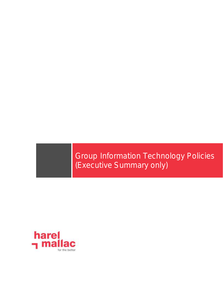Group Information Technology Policies (Executive Summary only)

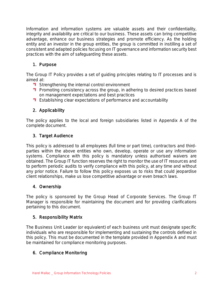Information and information systems are valuable assets and their confidentiality, integrity and availability are critical to our business. These assets can bring competitive advantage, enhance our business strategies and promote efficiency. As the holding entity and an investor in the group entities, the group is committed in instilling a set of consistent and adapted policies focusing on IT governance and information security best practices with the aim of safeguarding these assets.

# 1. Purpose

The Group IT Policy provides a set of guiding principles relating to IT processes and is aimed at:

- **T** Strengthening the internal control environment
- **Promoting consistency across the group, in adhering to desired practices based** on management expectations and best practices
- **Establishing clear expectations of performance and accountability**

## 2. Applicability

The policy applies to the local and foreign subsidiaries listed in Appendix A of the complete document.

# 3. Target Audience

This policy is addressed to all employees (full time or part time), contractors and thirdparties within the above entities who own, develop, operate or use any information systems. Compliance with this policy is mandatory unless authorised waivers are obtained. The Group IT function reserves the right to monitor the use of IT resources and to perform periodic audits to verify compliance with this policy, at any time and without any prior notice. Failure to follow this policy exposes us to risks that could jeopardise client relationships, make us lose competitive advantage or even breach laws.

## 4. Ownership

The policy is sponsored by the Group Head of Corporate Services. The Group IT Manager is responsible for maintaining the document and for providing clarifications pertaining to this document.

## 5. Responsibility Matrix

The Business Unit Leader (or equivalent) of each business unit must designate specific individuals who are responsible for implementing and sustaining the controls defined in this policy. This must be documented in the template provided in Appendix A and must be maintained for compliance monitoring purposes.

## 6. Compliance Monitoring